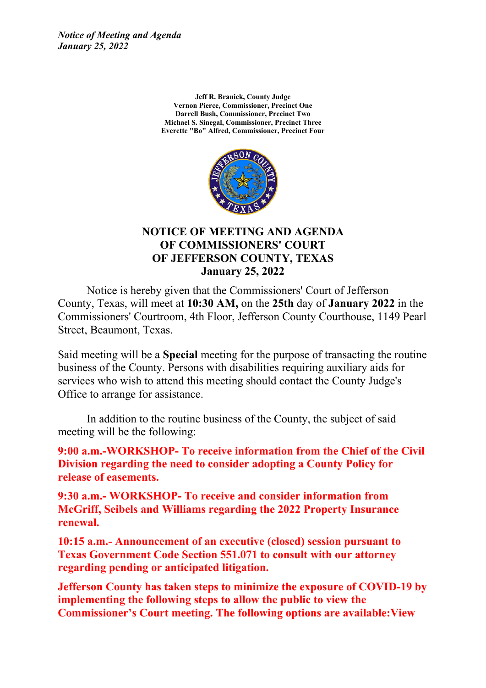*Notice of Meeting and Agenda January 25, 2022*

> **Jeff R. Branick, County Judge Vernon Pierce, Commissioner, Precinct One Darrell Bush, Commissioner, Precinct Two Michael S. Sinegal, Commissioner, Precinct Three Everette "Bo" Alfred, Commissioner, Precinct Four**



#### **NOTICE OF MEETING AND AGENDA OF COMMISSIONERS' COURT OF JEFFERSON COUNTY, TEXAS January 25, 2022**

Notice is hereby given that the Commissioners' Court of Jefferson County, Texas, will meet at **10:30 AM,** on the **25th** day of **January 2022** in the Commissioners' Courtroom, 4th Floor, Jefferson County Courthouse, 1149 Pearl Street, Beaumont, Texas.

Said meeting will be <sup>a</sup> **Special** meeting for the purpose of transacting the routine business of the County. Persons with disabilities requiring auxiliary aids for services who wish to attend this meeting should contact the County Judge's Office to arrange for assistance.

In addition to the routine business of the County, the subject of said meeting will be the following:

**9:00 a.m.-WORKSHOP- To receive information from the Chief of the Civil Division regarding the need to consider adopting <sup>a</sup> County Policy for release of easements.**

**9:30 a.m.- WORKSHOP- To receive and consider information from McGriff, Seibels and Williams regarding the 2022 Property Insurance renewal.**

**10:15 a.m.- Announcement of an executive (closed) session pursuant to Texas Government Code Section 551.071 to consult with our attorney regarding pending or anticipated litigation.**

**Jefferson County has taken steps to minimize the exposure of COVID-19 by implementing the following steps to allow the public to view the Commissioner's Court meeting. The following options are available:View**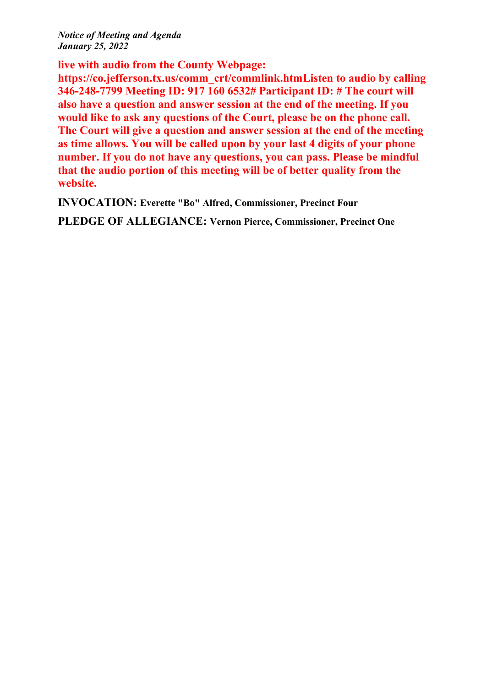*Notice of Meeting and Agenda January 25, 2022*

**live with audio from the County Webpage:**

**https://co.jefferson.tx.us/comm\_crt/commlink.htmListen to audio by calling 346-248-7799 Meeting ID: 917 160 6532# Participant ID: # The court will also have <sup>a</sup> question and answer session at the end of the meeting. If you would like to ask any questions of the Court, please be on the phone call. The Court will give <sup>a</sup> question and answer session at the end of the meeting as time allows. You will be called upon by your last 4 digits of your phone number. If you do not have any questions, you can pass. Please be mindful that the audio portion of this meeting will be of better quality from the website.**

**INVOCATION: Everette "Bo" Alfred, Commissioner, Precinct Four**

**PLEDGE OF ALLEGIANCE: Vernon Pierce, Commissioner, Precinct One**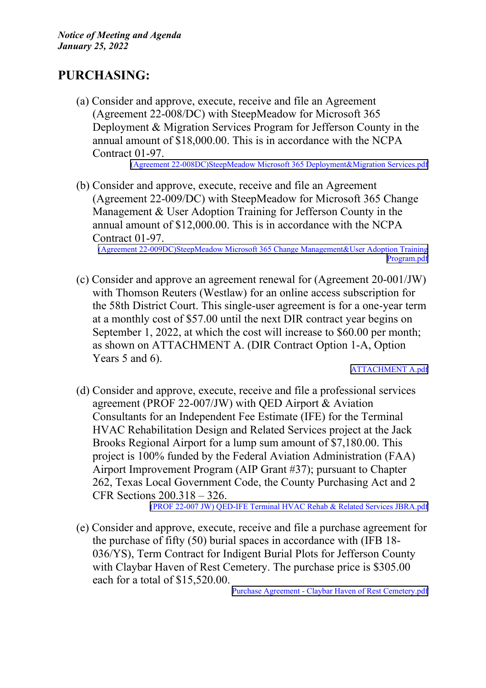## **PURCHASING:**

(a) Consider and approve, execute, receive and file an Agreement (Agreement 22-008/DC) with SteepMeadow for Microsoft 365 Deployment & Migration Services Program for Jefferson County in the annual amount of \$18,000.00. This is in accordance with the NCPA Contract 01-97.

(Agreement [22-008DC\)SteepMeadow](http://co.jefferson.tx.us/agenda/agendas_pl/20220125_675/Attachments/(Agreement 22-008DC)SteepMeadow Microsoft 365 Deployment&Migration Services.pdf) Microsoft 365 Deployment&Migration Services.pdf

(b) Consider and approve, execute, receive and file an Agreement (Agreement 22-009/DC) with SteepMeadow for Microsoft 365 Change Management  $&$  User Adoption Training for Jefferson County in the annual amount of \$12,000.00. This is in accordance with the NCPA Contract 01-97.

(Agreement [22-009DC\)SteepMeadow](http://co.jefferson.tx.us/agenda/agendas_pl/20220125_675/Attachments/(Agreement 22-009DC)SteepMeadow Microsoft 365 Change Management&User Adoption Training Program.pdf) Microsoft 365 Change Management&User Adoption Training [Program.pdf](http://co.jefferson.tx.us/agenda/agendas_pl/20220125_675/Attachments/(Agreement 22-009DC)SteepMeadow Microsoft 365 Change Management&User Adoption Training Program.pdf)

(c) Consider and approve an agreemen<sup>t</sup> renewal for (Agreement 20-001/JW) with Thomson Reuters (Westlaw) for an online access subscription for the 58th District Court. This single-user agreemen<sup>t</sup> is for <sup>a</sup> one-year term at <sup>a</sup> monthly cost of \$57.00 until the next DIR contract year begins on September 1, 2022, at which the cost will increase to \$60.00 per month; as shown on ATTACHMENT A. (DIR Contract Option 1-A, Option Years 5 and 6).

[ATTACHMENT](http://co.jefferson.tx.us/agenda/agendas_pl/20220125_675/Attachments/ATTACHMENT A.pdf) A.pdf

(d) Consider and approve, execute, receive and file <sup>a</sup> professional services agreement (PROF 22-007/JW) with QED Airport  $&$  Aviation Consultants for an Independent Fee Estimate (IFE) for the Terminal HVAC Rehabilitation Design and Related Services project at the Jack Brooks Regional Airport for <sup>a</sup> lump sum amount of \$7,180.00. This project is 100% funded by the Federal Aviation Administration (FAA) Airport Improvement Program (AIP Grant #37); pursuan<sup>t</sup> to Chapter 262, Texas Local Government Code, the County Purchasing Act and 2 CFR Sections 200.318 – 326.

(PROF 22-007 JW) QED-IFE Terminal HVAC Rehab & Related Services [JBRA.pdf](http://co.jefferson.tx.us/agenda/agendas_pl/20220125_675/Attachments/(PROF 22-007 JW) QED-IFE Terminal HVAC Rehab & Related Services JBRA.pdf)

(e) Consider and approve, execute, receive and file <sup>a</sup> purchase agreemen<sup>t</sup> for the purchase of fifty (50) burial spaces in accordance with (IFB 18- 036/YS), Term Contract for Indigent Burial Plots for Jefferson County with Claybar Haven of Rest Cemetery. The purchase price is \$305.00 each for <sup>a</sup> total of \$15,520.00.

Purchase Agreement - Claybar Haven of Rest [Cemetery.pdf](http://co.jefferson.tx.us/agenda/agendas_pl/20220125_675/Attachments/Purchase Agreement - Claybar Haven of Rest Cemetery.pdf)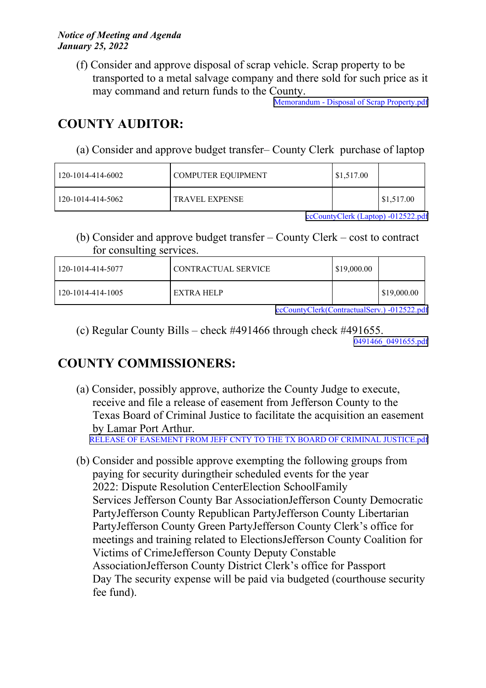(f) Consider and approve disposal of scrap vehicle. Scrap property to be transported to <sup>a</sup> metal salvage company and there sold for such price as it may command and return funds to the County.

Memorandum - Disposal of Scrap [Property.pdf](http://co.jefferson.tx.us/agenda/agendas_pl/20220125_675/Attachments/Memorandum - Disposal of Scrap Property.pdf)

# **COUNTY AUDITOR:**

(a) Consider and approve budget transfer– County Clerk purchase of laptop

| 120-1014-414-6002 | COMPUTER EOUIPMENT    | $\frac{$1,517.00}{ }$ |            |
|-------------------|-----------------------|-----------------------|------------|
| 120-1014-414-5062 | <b>TRAVEL EXPENSE</b> |                       | \$1,517.00 |

[ccCountyClerk](http://co.jefferson.tx.us/agenda/agendas_pl/20220125_675/Attachments/ccCountyClerk (Laptop) -012522.pdf) (Laptop) -012522.pdf

(b) Consider and approve budget transfer – County Clerk – cost to contract for consulting services.

| 120-1014-414-5077 | CONTRACTUAL SERVICE | \$19,000.00 |                    |
|-------------------|---------------------|-------------|--------------------|
| 120-1014-414-1005 | EXTRA HELP          |             | $\mid$ \$19,000.00 |

[ccCountyClerk\(ContractualServ.\)](http://co.jefferson.tx.us/agenda/agendas_pl/20220125_675/Attachments/ccCountyClerk(ContractualServ.) -012522.pdf) -012522.pdf

(c) Regular County Bills – check #491466 through check #491655. [0491466\\_0491655.pdf](http://co.jefferson.tx.us/agenda/agendas_pl/20220125_675/Attachments/0491466_0491655.pdf)

# **COUNTY COMMISSIONERS:**

- (a) Consider, possibly approve, authorize the County Judge to execute, receive and file <sup>a</sup> release of easement from Jefferson County to the Texas Board of Criminal Justice to facilitate the acquisition an easement by Lamar Port Arthur. RELEASE OF EASEMENT FROM JEFF CNTY TO THE TX BOARD OF CRIMINAL [JUSTICE.pdf](http://co.jefferson.tx.us/agenda/agendas_pl/20220125_675/Attachments/RELEASE OF EASEMENT FROM JEFF CNTY TO THE TX BOARD OF CRIMINAL JUSTICE.pdf)
- (b) Consider and possible approve exempting the following groups from paying for security duringtheir scheduled events for the year 2022: Dispute Resolution CenterElection SchoolFamily Services Jefferson County Bar AssociationJefferson County Democratic PartyJefferson County Republican PartyJefferson County Libertarian PartyJefferson County Green PartyJefferson County Clerk's office for meetings and training related to ElectionsJefferson County Coalition for Victims of CrimeJefferson County Deputy Constable AssociationJefferson County District Clerk's office for Passport Day The security expense will be paid via budgeted (courthouse security fee fund).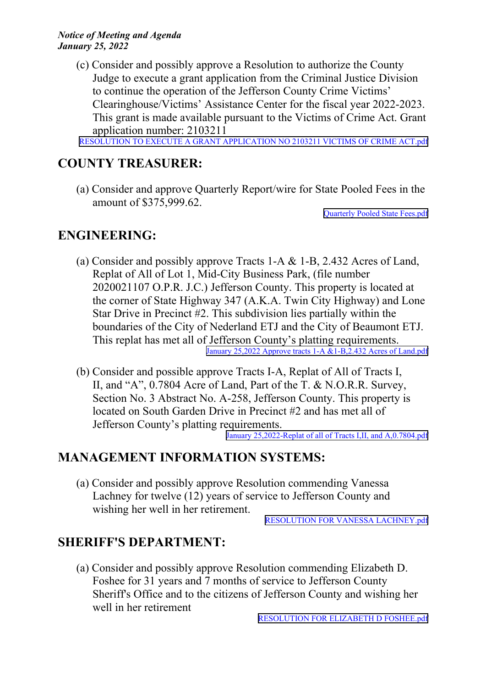(c) Consider and possibly approve <sup>a</sup> Resolution to authorize the County Judge to execute <sup>a</sup> gran<sup>t</sup> application from the Criminal Justice Division to continue the operation of the Jefferson County Crime Victims' Clearinghouse/Victims' Assistance Center for the fiscal year 2022-2023. This gran<sup>t</sup> is made available pursuan<sup>t</sup> to the Victims of Crime Act. Grant application number: 2103211

RESOLUTION TO EXECUTE A GRANT [APPLICATION](http://co.jefferson.tx.us/agenda/agendas_pl/20220125_675/Attachments/RESOLUTION TO EXECUTE A GRANT APPLICATION NO 2103211 VICTIMS OF CRIME ACT.pdf) NO 2103211 VICTIMS OF CRIME ACT.pdf

## **COUNTY TREASURER:**

(a) Consider and approve Quarterly Report/wire for State Pooled Fees in the amount of \$375,999.62.

[Quarterly](http://co.jefferson.tx.us/agenda/agendas_pl/20220125_675/Attachments/Quarterly Pooled State Fees.pdf) Pooled State Fees.pdf

### **ENGINEERING:**

- (a) Consider and possibly approve Tracts 1-A & 1-B, 2.432 Acres of Land, Replat of All of Lot 1, Mid-City Business Park, (file number 2020021107 O.P.R. J.C.) Jefferson County. This property is located at the corner of State Highway 347 (A.K.A. Twin City Highway) and Lone Star Drive in Precinct #2. This subdivision lies partially within the boundaries of the City of Nederland ETJ and the City of Beaumont ETJ. This replat has met all of Jefferson County's platting requirements. January 25,2022 Approve tracts 1-A [&1-B,2.432](http://co.jefferson.tx.us/agenda/agendas_pl/20220125_675/Attachments/January 25,2022 Approve tracts 1-A &1-B,2.432 Acres of Land.pdf) Acres of Land.pdf
- (b) Consider and possible approve Tracts I-A, Replat of All of Tracts I, II, and "A",  $0.7804$  Acre of Land, Part of the T. & N.O.R.R. Survey, Section No. 3 Abstract No. A-258, Jefferson County. This property is located on South Garden Drive in Precinct #2 and has met all of Jefferson County's platting requirements.

January [25,2022-Replat](http://co.jefferson.tx.us/agenda/agendas_pl/20220125_675/Attachments/January 25,2022-Replat of all of Tracts I,II, and A,0.7804.pdf) of all of Tracts I,II, and A,0.7804.pdf

### **MANAGEMENT INFORMATION SYSTEMS:**

(a) Consider and possibly approve Resolution commending Vanessa Lachney for twelve (12) years of service to Jefferson County and wishing her well in her retirement.

RESOLUTION FOR VANESSA [LACHNEY.pdf](http://co.jefferson.tx.us/agenda/agendas_pl/20220125_675/Attachments/RESOLUTION FOR VANESSA LACHNEY.pdf)

### **SHERIFF'S DEPARTMENT:**

(a) Consider and possibly approve Resolution commending Elizabeth D. Foshee for 31 years and 7 months of service to Jefferson County Sheriff's Office and to the citizens of Jefferson County and wishing her well in her retirement

RESOLUTION FOR ELIZABETH D [FOSHEE.pdf](http://co.jefferson.tx.us/agenda/agendas_pl/20220125_675/Attachments/RESOLUTION FOR ELIZABETH D FOSHEE.pdf)